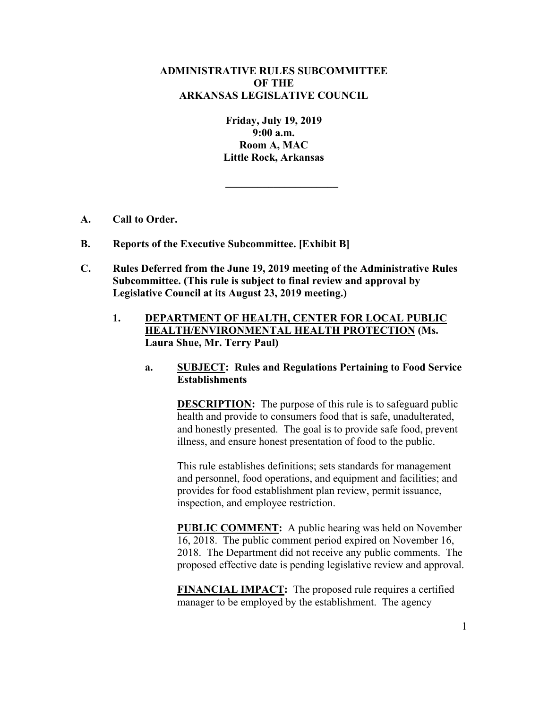# **ADMINISTRATIVE RULES SUBCOMMITTEE OF THE ARKANSAS LEGISLATIVE COUNCIL**

**Friday, July 19, 2019 9:00 a.m. Room A, MAC Little Rock, Arkansas** 

**\_\_\_\_\_\_\_\_\_\_\_\_\_\_\_\_\_\_\_\_\_** 

- **A. Call to Order.**
- **B. Reports of the Executive Subcommittee. [Exhibit B]**
- **C. Rules Deferred from the June 19, 2019 meeting of the Administrative Rules Subcommittee. (This rule is subject to final review and approval by Legislative Council at its August 23, 2019 meeting.)** 
	- **1. DEPARTMENT OF HEALTH, CENTER FOR LOCAL PUBLIC HEALTH/ENVIRONMENTAL HEALTH PROTECTION (Ms. Laura Shue, Mr. Terry Paul)**

## **a. SUBJECT: Rules and Regulations Pertaining to Food Service Establishments**

**DESCRIPTION:** The purpose of this rule is to safeguard public health and provide to consumers food that is safe, unadulterated, and honestly presented. The goal is to provide safe food, prevent illness, and ensure honest presentation of food to the public.

This rule establishes definitions; sets standards for management and personnel, food operations, and equipment and facilities; and provides for food establishment plan review, permit issuance, inspection, and employee restriction.

**PUBLIC COMMENT:** A public hearing was held on November 16, 2018. The public comment period expired on November 16, 2018. The Department did not receive any public comments. The proposed effective date is pending legislative review and approval.

**FINANCIAL IMPACT:** The proposed rule requires a certified manager to be employed by the establishment. The agency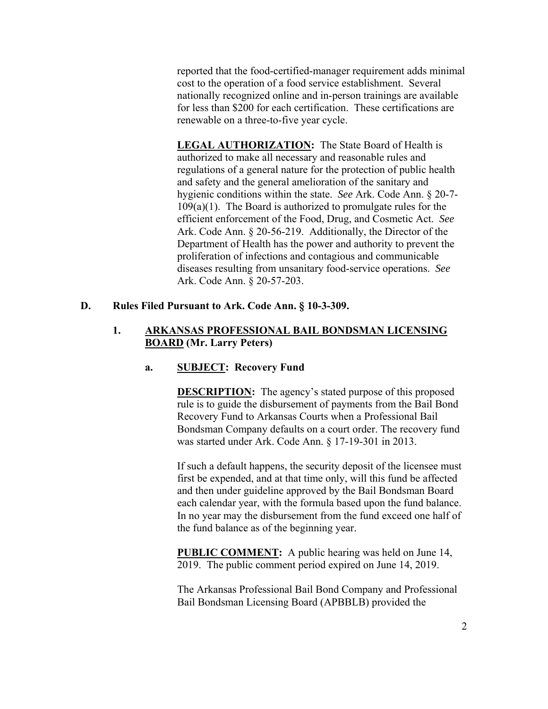reported that the food-certified-manager requirement adds minimal cost to the operation of a food service establishment. Several nationally recognized online and in-person trainings are available for less than \$200 for each certification. These certifications are renewable on a three-to-five year cycle.

**LEGAL AUTHORIZATION:** The State Board of Health is authorized to make all necessary and reasonable rules and regulations of a general nature for the protection of public health and safety and the general amelioration of the sanitary and hygienic conditions within the state. *See* Ark. Code Ann. § 20-7-  $109(a)(1)$ . The Board is authorized to promulgate rules for the efficient enforcement of the Food, Drug, and Cosmetic Act. *See* Ark. Code Ann. § 20-56-219. Additionally, the Director of the Department of Health has the power and authority to prevent the proliferation of infections and contagious and communicable diseases resulting from unsanitary food-service operations. *See*  Ark. Code Ann. § 20-57-203.

## **D. Rules Filed Pursuant to Ark. Code Ann. § 10-3-309.**

# **1. ARKANSAS PROFESSIONAL BAIL BONDSMAN LICENSING BOARD (Mr. Larry Peters)**

## **a. SUBJECT: Recovery Fund**

**DESCRIPTION:** The agency's stated purpose of this proposed rule is to guide the disbursement of payments from the Bail Bond Recovery Fund to Arkansas Courts when a Professional Bail Bondsman Company defaults on a court order. The recovery fund was started under Ark. Code Ann. § 17-19-301 in 2013.

If such a default happens, the security deposit of the licensee must first be expended, and at that time only, will this fund be affected and then under guideline approved by the Bail Bondsman Board each calendar year, with the formula based upon the fund balance. In no year may the disbursement from the fund exceed one half of the fund balance as of the beginning year.

**PUBLIC COMMENT:** A public hearing was held on June 14, 2019. The public comment period expired on June 14, 2019.

The Arkansas Professional Bail Bond Company and Professional Bail Bondsman Licensing Board (APBBLB) provided the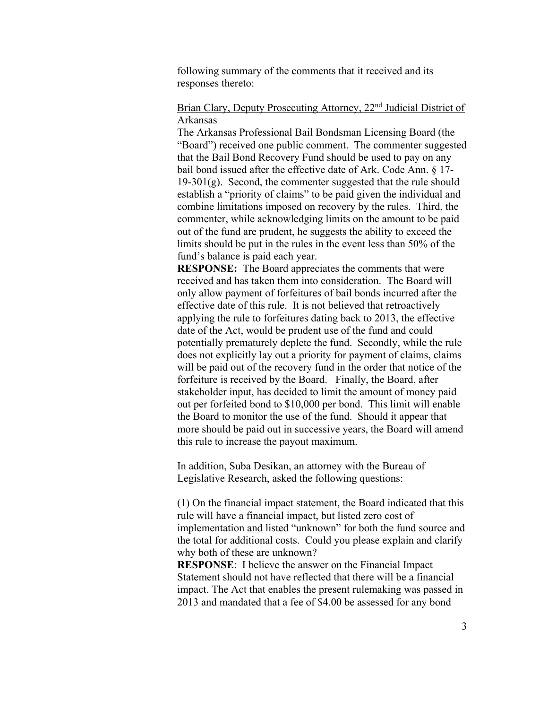following summary of the comments that it received and its responses thereto:

## Brian Clary, Deputy Prosecuting Attorney, 22<sup>nd</sup> Judicial District of Arkansas

The Arkansas Professional Bail Bondsman Licensing Board (the "Board") received one public comment. The commenter suggested that the Bail Bond Recovery Fund should be used to pay on any bail bond issued after the effective date of Ark. Code Ann. § 17-  $19-301(g)$ . Second, the commenter suggested that the rule should establish a "priority of claims" to be paid given the individual and combine limitations imposed on recovery by the rules. Third, the commenter, while acknowledging limits on the amount to be paid out of the fund are prudent, he suggests the ability to exceed the limits should be put in the rules in the event less than 50% of the fund's balance is paid each year.

**RESPONSE:** The Board appreciates the comments that were received and has taken them into consideration. The Board will only allow payment of forfeitures of bail bonds incurred after the effective date of this rule. It is not believed that retroactively applying the rule to forfeitures dating back to 2013, the effective date of the Act, would be prudent use of the fund and could potentially prematurely deplete the fund. Secondly, while the rule does not explicitly lay out a priority for payment of claims, claims will be paid out of the recovery fund in the order that notice of the forfeiture is received by the Board. Finally, the Board, after stakeholder input, has decided to limit the amount of money paid out per forfeited bond to \$10,000 per bond. This limit will enable the Board to monitor the use of the fund. Should it appear that more should be paid out in successive years, the Board will amend this rule to increase the payout maximum.

In addition, Suba Desikan, an attorney with the Bureau of Legislative Research, asked the following questions:

(1) On the financial impact statement, the Board indicated that this rule will have a financial impact, but listed zero cost of implementation and listed "unknown" for both the fund source and the total for additional costs. Could you please explain and clarify why both of these are unknown?

**RESPONSE**: I believe the answer on the Financial Impact Statement should not have reflected that there will be a financial impact. The Act that enables the present rulemaking was passed in 2013 and mandated that a fee of \$4.00 be assessed for any bond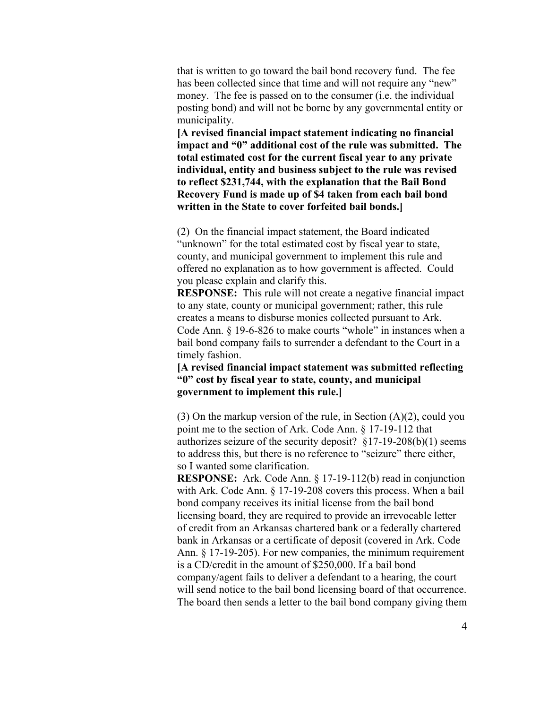that is written to go toward the bail bond recovery fund. The fee has been collected since that time and will not require any "new" money. The fee is passed on to the consumer (i.e. the individual posting bond) and will not be borne by any governmental entity or municipality.

**[A revised financial impact statement indicating no financial impact and "0" additional cost of the rule was submitted. The total estimated cost for the current fiscal year to any private individual, entity and business subject to the rule was revised to reflect \$231,744, with the explanation that the Bail Bond Recovery Fund is made up of \$4 taken from each bail bond written in the State to cover forfeited bail bonds.]** 

(2) On the financial impact statement, the Board indicated "unknown" for the total estimated cost by fiscal year to state, county, and municipal government to implement this rule and offered no explanation as to how government is affected. Could you please explain and clarify this.

**RESPONSE:** This rule will not create a negative financial impact to any state, county or municipal government; rather, this rule creates a means to disburse monies collected pursuant to Ark. Code Ann. § 19-6-826 to make courts "whole" in instances when a bail bond company fails to surrender a defendant to the Court in a timely fashion.

**[A revised financial impact statement was submitted reflecting "0" cost by fiscal year to state, county, and municipal government to implement this rule.]** 

(3) On the markup version of the rule, in Section (A)(2), could you point me to the section of Ark. Code Ann. § 17-19-112 that authorizes seizure of the security deposit?  $\S17-19-208(b)(1)$  seems to address this, but there is no reference to "seizure" there either, so I wanted some clarification.

**RESPONSE:** Ark. Code Ann. § 17-19-112(b) read in conjunction with Ark. Code Ann. § 17-19-208 covers this process. When a bail bond company receives its initial license from the bail bond licensing board, they are required to provide an irrevocable letter of credit from an Arkansas chartered bank or a federally chartered bank in Arkansas or a certificate of deposit (covered in Ark. Code Ann. § 17-19-205). For new companies, the minimum requirement is a CD/credit in the amount of \$250,000. If a bail bond company/agent fails to deliver a defendant to a hearing, the court will send notice to the bail bond licensing board of that occurrence. The board then sends a letter to the bail bond company giving them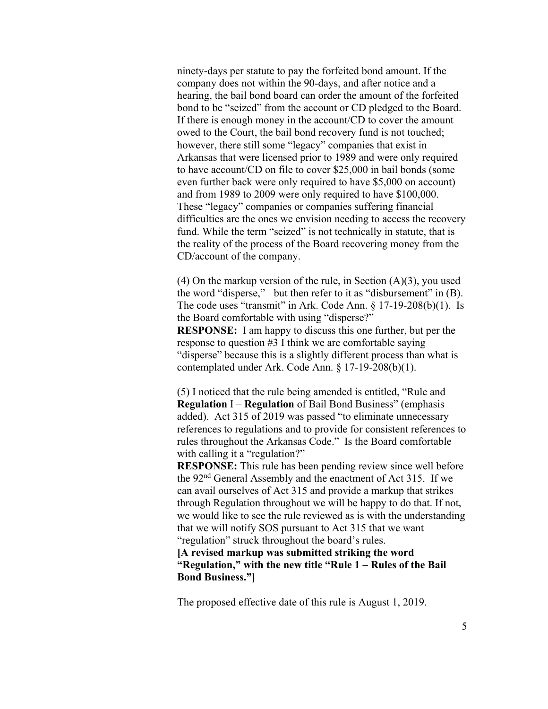ninety-days per statute to pay the forfeited bond amount. If the company does not within the 90-days, and after notice and a hearing, the bail bond board can order the amount of the forfeited bond to be "seized" from the account or CD pledged to the Board. If there is enough money in the account/CD to cover the amount owed to the Court, the bail bond recovery fund is not touched; however, there still some "legacy" companies that exist in Arkansas that were licensed prior to 1989 and were only required to have account/CD on file to cover \$25,000 in bail bonds (some even further back were only required to have \$5,000 on account) and from 1989 to 2009 were only required to have \$100,000. These "legacy" companies or companies suffering financial difficulties are the ones we envision needing to access the recovery fund. While the term "seized" is not technically in statute, that is the reality of the process of the Board recovering money from the CD/account of the company.

 $(4)$  On the markup version of the rule, in Section  $(A)(3)$ , you used the word "disperse," but then refer to it as "disbursement" in (B). The code uses "transmit" in Ark. Code Ann. § 17-19-208(b)(1). Is the Board comfortable with using "disperse?" **RESPONSE:** I am happy to discuss this one further, but per the response to question #3 I think we are comfortable saying "disperse" because this is a slightly different process than what is contemplated under Ark. Code Ann. § 17-19-208(b)(1).

(5) I noticed that the rule being amended is entitled, "Rule and **Regulation** I – **Regulation** of Bail Bond Business" (emphasis added). Act 315 of 2019 was passed "to eliminate unnecessary references to regulations and to provide for consistent references to rules throughout the Arkansas Code." Is the Board comfortable with calling it a "regulation?"

**RESPONSE:** This rule has been pending review since well before the 92<sup>nd</sup> General Assembly and the enactment of Act 315. If we can avail ourselves of Act 315 and provide a markup that strikes through Regulation throughout we will be happy to do that. If not, we would like to see the rule reviewed as is with the understanding that we will notify SOS pursuant to Act 315 that we want "regulation" struck throughout the board's rules.

**[A revised markup was submitted striking the word "Regulation," with the new title "Rule 1 – Rules of the Bail Bond Business."]** 

The proposed effective date of this rule is August 1, 2019.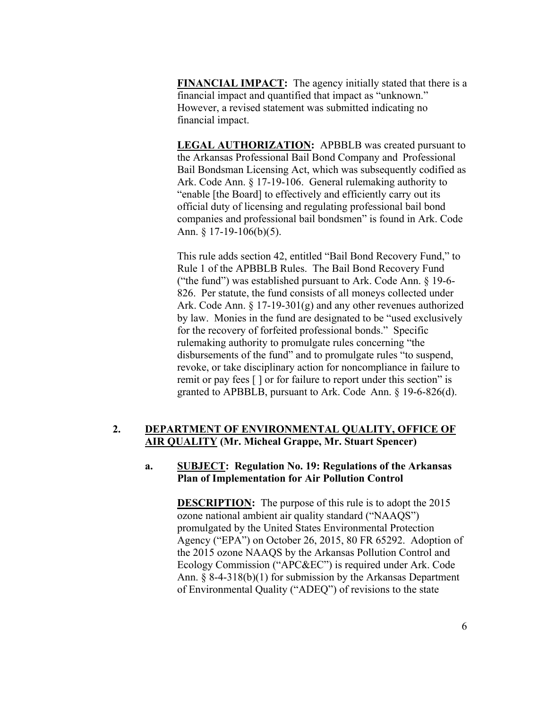**FINANCIAL IMPACT:** The agency initially stated that there is a financial impact and quantified that impact as "unknown." However, a revised statement was submitted indicating no financial impact.

**LEGAL AUTHORIZATION:** APBBLB was created pursuant to the Arkansas Professional Bail Bond Company and Professional Bail Bondsman Licensing Act, which was subsequently codified as Ark. Code Ann. § 17-19-106. General rulemaking authority to "enable [the Board] to effectively and efficiently carry out its official duty of licensing and regulating professional bail bond companies and professional bail bondsmen" is found in Ark. Code Ann. § 17-19-106(b)(5).

This rule adds section 42, entitled "Bail Bond Recovery Fund," to Rule 1 of the APBBLB Rules. The Bail Bond Recovery Fund ("the fund") was established pursuant to Ark. Code Ann. § 19-6- 826. Per statute, the fund consists of all moneys collected under Ark. Code Ann. § 17-19-301(g) and any other revenues authorized by law. Monies in the fund are designated to be "used exclusively for the recovery of forfeited professional bonds." Specific rulemaking authority to promulgate rules concerning "the disbursements of the fund" and to promulgate rules "to suspend, revoke, or take disciplinary action for noncompliance in failure to remit or pay fees [ ] or for failure to report under this section" is granted to APBBLB, pursuant to Ark. Code Ann. § 19-6-826(d).

# **2. DEPARTMENT OF ENVIRONMENTAL QUALITY, OFFICE OF AIR QUALITY (Mr. Micheal Grappe, Mr. Stuart Spencer)**

## **a. SUBJECT: Regulation No. 19: Regulations of the Arkansas Plan of Implementation for Air Pollution Control**

**DESCRIPTION:** The purpose of this rule is to adopt the 2015 ozone national ambient air quality standard ("NAAQS") promulgated by the United States Environmental Protection Agency ("EPA") on October 26, 2015, 80 FR 65292. Adoption of the 2015 ozone NAAQS by the Arkansas Pollution Control and Ecology Commission ("APC&EC") is required under Ark. Code Ann. § 8-4-318(b)(1) for submission by the Arkansas Department of Environmental Quality ("ADEQ") of revisions to the state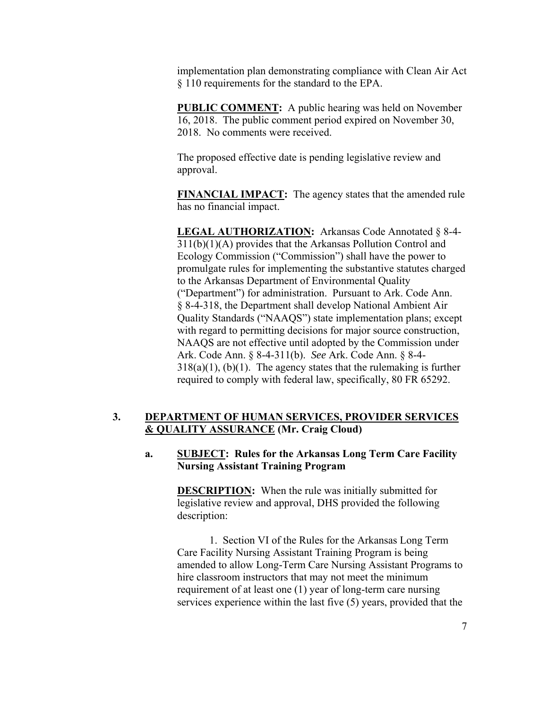implementation plan demonstrating compliance with Clean Air Act § 110 requirements for the standard to the EPA.

**PUBLIC COMMENT:** A public hearing was held on November 16, 2018. The public comment period expired on November 30, 2018. No comments were received.

The proposed effective date is pending legislative review and approval.

**FINANCIAL IMPACT:** The agency states that the amended rule has no financial impact.

**LEGAL AUTHORIZATION:** Arkansas Code Annotated § 8-4- 311(b)(1)(A) provides that the Arkansas Pollution Control and Ecology Commission ("Commission") shall have the power to promulgate rules for implementing the substantive statutes charged to the Arkansas Department of Environmental Quality ("Department") for administration. Pursuant to Ark. Code Ann. § 8-4-318, the Department shall develop National Ambient Air Quality Standards ("NAAQS") state implementation plans; except with regard to permitting decisions for major source construction, NAAQS are not effective until adopted by the Commission under Ark. Code Ann. § 8-4-311(b). *See* Ark. Code Ann. § 8-4-  $318(a)(1)$ ,  $(b)(1)$ . The agency states that the rulemaking is further required to comply with federal law, specifically, 80 FR 65292.

## **3. DEPARTMENT OF HUMAN SERVICES, PROVIDER SERVICES & QUALITY ASSURANCE (Mr. Craig Cloud)**

## **a. SUBJECT: Rules for the Arkansas Long Term Care Facility Nursing Assistant Training Program**

**DESCRIPTION:** When the rule was initially submitted for legislative review and approval, DHS provided the following description:

1. Section VI of the Rules for the Arkansas Long Term Care Facility Nursing Assistant Training Program is being amended to allow Long-Term Care Nursing Assistant Programs to hire classroom instructors that may not meet the minimum requirement of at least one (1) year of long-term care nursing services experience within the last five (5) years, provided that the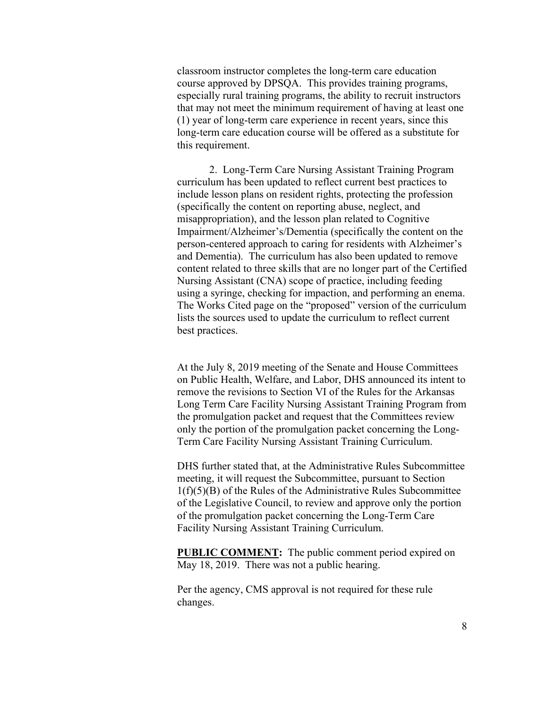classroom instructor completes the long-term care education course approved by DPSQA. This provides training programs, especially rural training programs, the ability to recruit instructors that may not meet the minimum requirement of having at least one (1) year of long-term care experience in recent years, since this long-term care education course will be offered as a substitute for this requirement.

 2. Long-Term Care Nursing Assistant Training Program curriculum has been updated to reflect current best practices to include lesson plans on resident rights, protecting the profession (specifically the content on reporting abuse, neglect, and misappropriation), and the lesson plan related to Cognitive Impairment/Alzheimer's/Dementia (specifically the content on the person-centered approach to caring for residents with Alzheimer's and Dementia). The curriculum has also been updated to remove content related to three skills that are no longer part of the Certified Nursing Assistant (CNA) scope of practice, including feeding using a syringe, checking for impaction, and performing an enema. The Works Cited page on the "proposed" version of the curriculum lists the sources used to update the curriculum to reflect current best practices.

At the July 8, 2019 meeting of the Senate and House Committees on Public Health, Welfare, and Labor, DHS announced its intent to remove the revisions to Section VI of the Rules for the Arkansas Long Term Care Facility Nursing Assistant Training Program from the promulgation packet and request that the Committees review only the portion of the promulgation packet concerning the Long-Term Care Facility Nursing Assistant Training Curriculum.

DHS further stated that, at the Administrative Rules Subcommittee meeting, it will request the Subcommittee, pursuant to Section 1(f)(5)(B) of the Rules of the Administrative Rules Subcommittee of the Legislative Council, to review and approve only the portion of the promulgation packet concerning the Long-Term Care Facility Nursing Assistant Training Curriculum.

**PUBLIC COMMENT:** The public comment period expired on May 18, 2019. There was not a public hearing.

Per the agency, CMS approval is not required for these rule changes.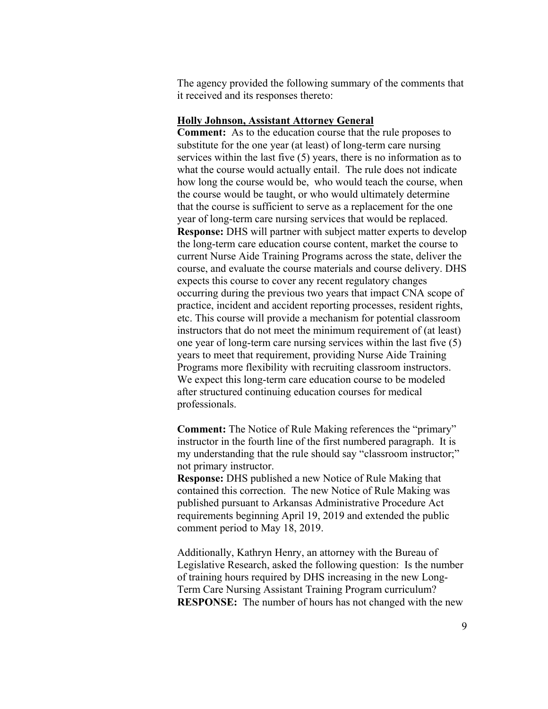The agency provided the following summary of the comments that it received and its responses thereto:

#### **Holly Johnson, Assistant Attorney General**

**Comment:** As to the education course that the rule proposes to substitute for the one year (at least) of long-term care nursing services within the last five (5) years, there is no information as to what the course would actually entail. The rule does not indicate how long the course would be, who would teach the course, when the course would be taught, or who would ultimately determine that the course is sufficient to serve as a replacement for the one year of long-term care nursing services that would be replaced. **Response:** DHS will partner with subject matter experts to develop the long-term care education course content, market the course to current Nurse Aide Training Programs across the state, deliver the course, and evaluate the course materials and course delivery. DHS expects this course to cover any recent regulatory changes occurring during the previous two years that impact CNA scope of practice, incident and accident reporting processes, resident rights, etc. This course will provide a mechanism for potential classroom instructors that do not meet the minimum requirement of (at least) one year of long-term care nursing services within the last five (5) years to meet that requirement, providing Nurse Aide Training Programs more flexibility with recruiting classroom instructors. We expect this long-term care education course to be modeled after structured continuing education courses for medical professionals.

**Comment:** The Notice of Rule Making references the "primary" instructor in the fourth line of the first numbered paragraph. It is my understanding that the rule should say "classroom instructor;" not primary instructor.

**Response:** DHS published a new Notice of Rule Making that contained this correction. The new Notice of Rule Making was published pursuant to Arkansas Administrative Procedure Act requirements beginning April 19, 2019 and extended the public comment period to May 18, 2019.

Additionally, Kathryn Henry, an attorney with the Bureau of Legislative Research, asked the following question: Is the number of training hours required by DHS increasing in the new Long-Term Care Nursing Assistant Training Program curriculum? **RESPONSE:** The number of hours has not changed with the new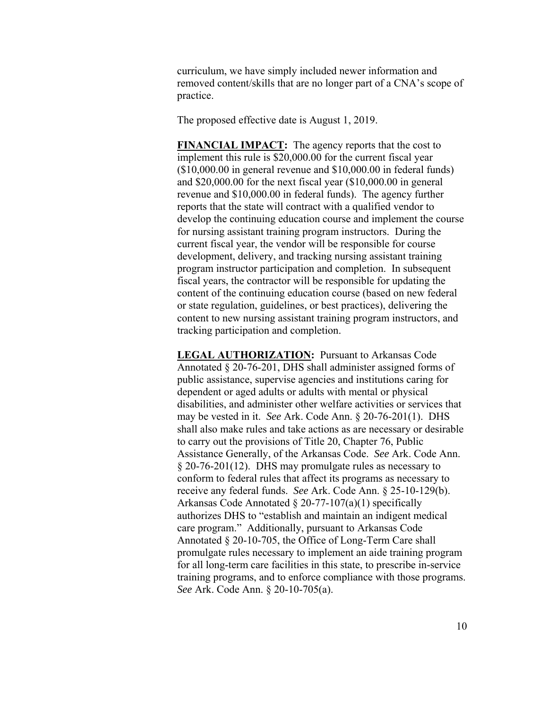curriculum, we have simply included newer information and removed content/skills that are no longer part of a CNA's scope of practice.

The proposed effective date is August 1, 2019.

**FINANCIAL IMPACT:** The agency reports that the cost to implement this rule is \$20,000.00 for the current fiscal year (\$10,000.00 in general revenue and \$10,000.00 in federal funds) and \$20,000.00 for the next fiscal year (\$10,000.00 in general revenue and \$10,000.00 in federal funds). The agency further reports that the state will contract with a qualified vendor to develop the continuing education course and implement the course for nursing assistant training program instructors. During the current fiscal year, the vendor will be responsible for course development, delivery, and tracking nursing assistant training program instructor participation and completion. In subsequent fiscal years, the contractor will be responsible for updating the content of the continuing education course (based on new federal or state regulation, guidelines, or best practices), delivering the content to new nursing assistant training program instructors, and tracking participation and completion.

**LEGAL AUTHORIZATION:** Pursuant to Arkansas Code Annotated § 20-76-201, DHS shall administer assigned forms of public assistance, supervise agencies and institutions caring for dependent or aged adults or adults with mental or physical disabilities, and administer other welfare activities or services that may be vested in it. *See* Ark. Code Ann. § 20-76-201(1). DHS shall also make rules and take actions as are necessary or desirable to carry out the provisions of Title 20, Chapter 76, Public Assistance Generally, of the Arkansas Code. *See* Ark. Code Ann. § 20-76-201(12). DHS may promulgate rules as necessary to conform to federal rules that affect its programs as necessary to receive any federal funds. *See* Ark. Code Ann. § 25-10-129(b). Arkansas Code Annotated § 20-77-107(a)(1) specifically authorizes DHS to "establish and maintain an indigent medical care program." Additionally, pursuant to Arkansas Code Annotated § 20-10-705, the Office of Long-Term Care shall promulgate rules necessary to implement an aide training program for all long-term care facilities in this state, to prescribe in-service training programs, and to enforce compliance with those programs. *See* Ark. Code Ann. § 20-10-705(a).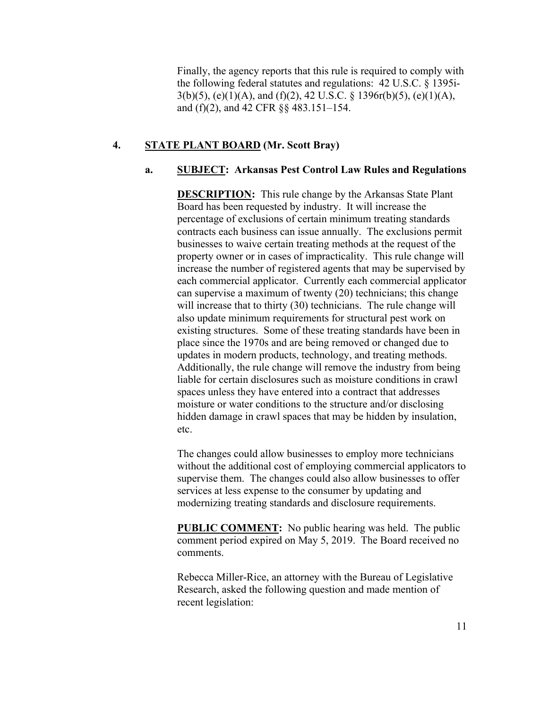Finally, the agency reports that this rule is required to comply with the following federal statutes and regulations: 42 U.S.C. § 1395i-3(b)(5), (e)(1)(A), and (f)(2), 42 U.S.C. § 1396r(b)(5), (e)(1)(A), and (f)(2), and 42 CFR §§ 483.151–154.

## **4. STATE PLANT BOARD (Mr. Scott Bray)**

## **a. SUBJECT: Arkansas Pest Control Law Rules and Regulations**

**DESCRIPTION:** This rule change by the Arkansas State Plant Board has been requested by industry. It will increase the percentage of exclusions of certain minimum treating standards contracts each business can issue annually. The exclusions permit businesses to waive certain treating methods at the request of the property owner or in cases of impracticality. This rule change will increase the number of registered agents that may be supervised by each commercial applicator. Currently each commercial applicator can supervise a maximum of twenty (20) technicians; this change will increase that to thirty (30) technicians. The rule change will also update minimum requirements for structural pest work on existing structures. Some of these treating standards have been in place since the 1970s and are being removed or changed due to updates in modern products, technology, and treating methods. Additionally, the rule change will remove the industry from being liable for certain disclosures such as moisture conditions in crawl spaces unless they have entered into a contract that addresses moisture or water conditions to the structure and/or disclosing hidden damage in crawl spaces that may be hidden by insulation, etc.

The changes could allow businesses to employ more technicians without the additional cost of employing commercial applicators to supervise them. The changes could also allow businesses to offer services at less expense to the consumer by updating and modernizing treating standards and disclosure requirements.

**PUBLIC COMMENT:** No public hearing was held. The public comment period expired on May 5, 2019. The Board received no comments.

Rebecca Miller-Rice, an attorney with the Bureau of Legislative Research, asked the following question and made mention of recent legislation: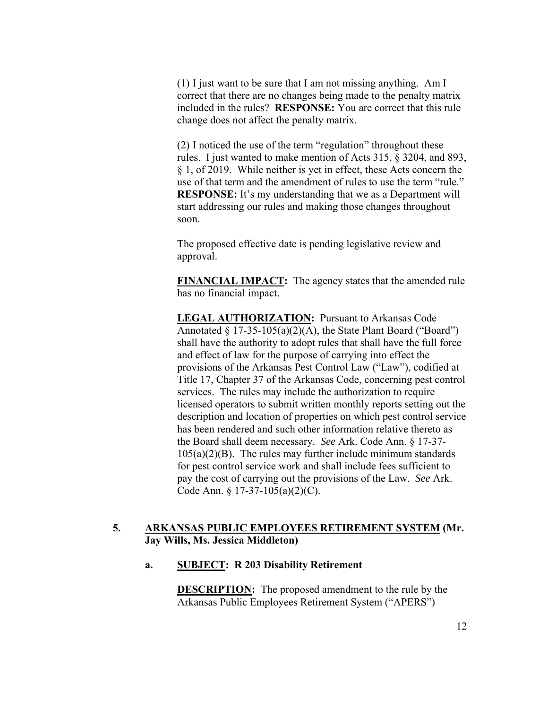(1) I just want to be sure that I am not missing anything. Am I correct that there are no changes being made to the penalty matrix included in the rules? **RESPONSE:** You are correct that this rule change does not affect the penalty matrix.

(2) I noticed the use of the term "regulation" throughout these rules. I just wanted to make mention of Acts 315, § 3204, and 893, § 1, of 2019. While neither is yet in effect, these Acts concern the use of that term and the amendment of rules to use the term "rule." **RESPONSE:** It's my understanding that we as a Department will start addressing our rules and making those changes throughout soon.

The proposed effective date is pending legislative review and approval.

**FINANCIAL IMPACT:** The agency states that the amended rule has no financial impact.

**LEGAL AUTHORIZATION:** Pursuant to Arkansas Code Annotated  $\S 17-35-105(a)(2)(A)$ , the State Plant Board ("Board") shall have the authority to adopt rules that shall have the full force and effect of law for the purpose of carrying into effect the provisions of the Arkansas Pest Control Law ("Law"), codified at Title 17, Chapter 37 of the Arkansas Code, concerning pest control services. The rules may include the authorization to require licensed operators to submit written monthly reports setting out the description and location of properties on which pest control service has been rendered and such other information relative thereto as the Board shall deem necessary. *See* Ark. Code Ann. § 17-37-  $105(a)(2)(B)$ . The rules may further include minimum standards for pest control service work and shall include fees sufficient to pay the cost of carrying out the provisions of the Law. *See* Ark. Code Ann. § 17-37-105(a)(2)(C).

# **5. ARKANSAS PUBLIC EMPLOYEES RETIREMENT SYSTEM (Mr. Jay Wills, Ms. Jessica Middleton)**

## **a. SUBJECT: R 203 Disability Retirement**

**DESCRIPTION:** The proposed amendment to the rule by the Arkansas Public Employees Retirement System ("APERS")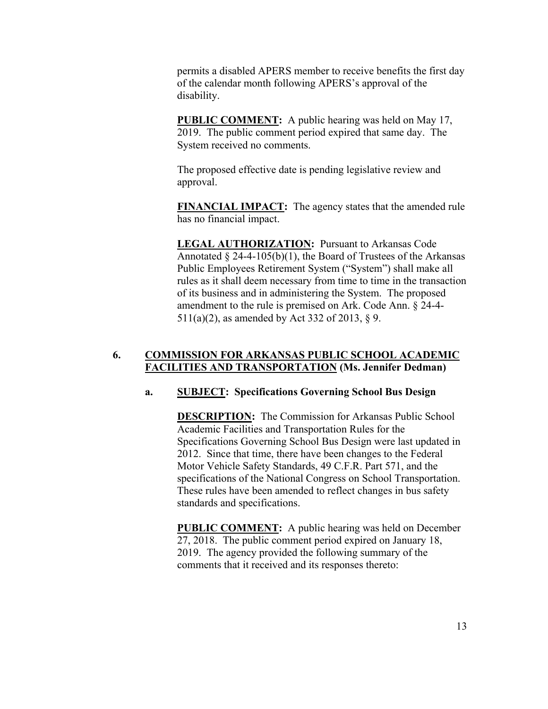permits a disabled APERS member to receive benefits the first day of the calendar month following APERS's approval of the disability.

**PUBLIC COMMENT:** A public hearing was held on May 17, 2019. The public comment period expired that same day. The System received no comments.

The proposed effective date is pending legislative review and approval.

**FINANCIAL IMPACT:** The agency states that the amended rule has no financial impact.

**LEGAL AUTHORIZATION:** Pursuant to Arkansas Code Annotated  $\S$  24-4-105(b)(1), the Board of Trustees of the Arkansas Public Employees Retirement System ("System") shall make all rules as it shall deem necessary from time to time in the transaction of its business and in administering the System. The proposed amendment to the rule is premised on Ark. Code Ann. § 24-4- 511(a)(2), as amended by Act 332 of 2013, § 9.

## **6. COMMISSION FOR ARKANSAS PUBLIC SCHOOL ACADEMIC FACILITIES AND TRANSPORTATION (Ms. Jennifer Dedman)**

## **a. SUBJECT: Specifications Governing School Bus Design**

**DESCRIPTION:** The Commission for Arkansas Public School Academic Facilities and Transportation Rules for the Specifications Governing School Bus Design were last updated in 2012. Since that time, there have been changes to the Federal Motor Vehicle Safety Standards, 49 C.F.R. Part 571, and the specifications of the National Congress on School Transportation. These rules have been amended to reflect changes in bus safety standards and specifications.

**PUBLIC COMMENT:** A public hearing was held on December 27, 2018. The public comment period expired on January 18, 2019. The agency provided the following summary of the comments that it received and its responses thereto: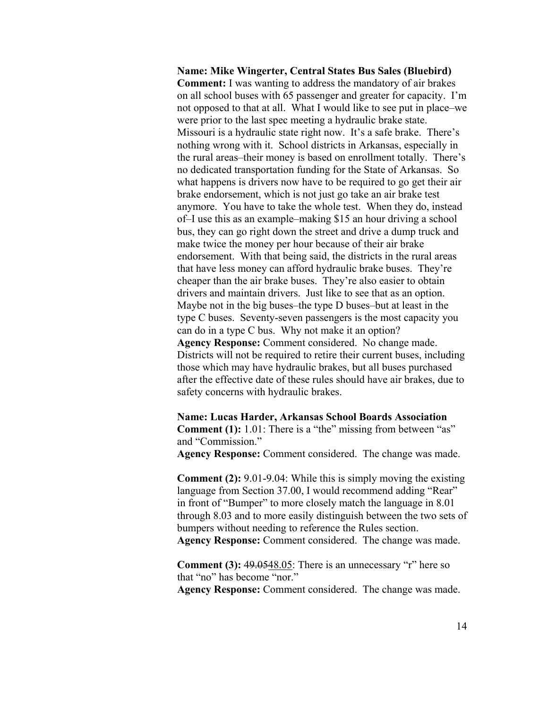**Name: Mike Wingerter, Central States Bus Sales (Bluebird) Comment:** I was wanting to address the mandatory of air brakes on all school buses with 65 passenger and greater for capacity. I'm not opposed to that at all. What I would like to see put in place–we were prior to the last spec meeting a hydraulic brake state. Missouri is a hydraulic state right now. It's a safe brake. There's nothing wrong with it. School districts in Arkansas, especially in the rural areas–their money is based on enrollment totally. There's no dedicated transportation funding for the State of Arkansas. So what happens is drivers now have to be required to go get their air brake endorsement, which is not just go take an air brake test anymore.You have to take the whole test. When they do, instead of–I use this as an example–making \$15 an hour driving a school bus, they can go right down the street and drive a dump truck and make twice the money per hour because of their air brake endorsement. With that being said, the districts in the rural areas that have less money can afford hydraulic brake buses. They're cheaper than the air brake buses. They're also easier to obtain drivers and maintain drivers. Just like to see that as an option. Maybe not in the big buses–the type D buses–but at least in the type C buses. Seventy-seven passengers is the most capacity you can do in a type C bus. Why not make it an option? **Agency Response:** Comment considered. No change made. Districts will not be required to retire their current buses, including those which may have hydraulic brakes, but all buses purchased after the effective date of these rules should have air brakes, due to safety concerns with hydraulic brakes.

**Name: Lucas Harder, Arkansas School Boards Association Comment (1):** 1.01: There is a "the" missing from between "as" and "Commission."

**Agency Response:** Comment considered. The change was made.

**Comment (2):** 9.01-9.04: While this is simply moving the existing language from Section 37.00, I would recommend adding "Rear" in front of "Bumper" to more closely match the language in 8.01 through 8.03 and to more easily distinguish between the two sets of bumpers without needing to reference the Rules section. **Agency Response:** Comment considered. The change was made.

**Comment (3):**  $49.0548.05$ : There is an unnecessary "r" here so that "no" has become "nor." **Agency Response:** Comment considered. The change was made.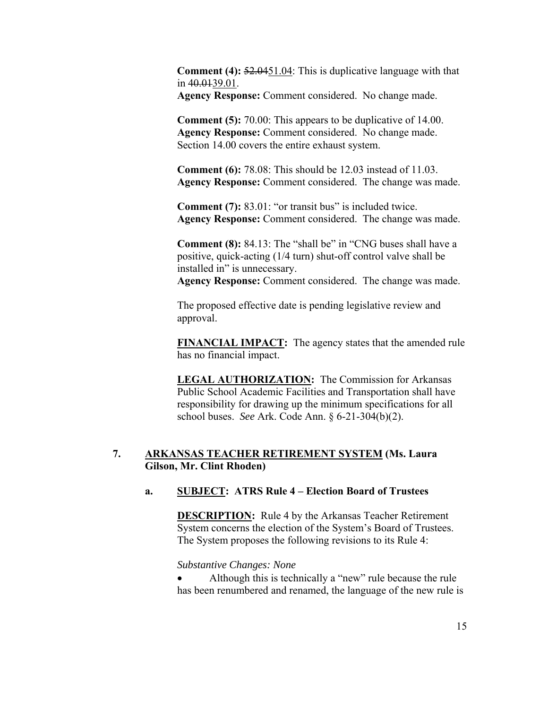**Comment (4):** 52.0451.04: This is duplicative language with that in 40.0139.01.

**Agency Response:** Comment considered. No change made.

**Comment (5):** 70.00: This appears to be duplicative of 14.00. **Agency Response:** Comment considered. No change made. Section 14.00 covers the entire exhaust system.

**Comment (6):** 78.08: This should be 12.03 instead of 11.03. **Agency Response:** Comment considered. The change was made.

**Comment (7):** 83.01: "or transit bus" is included twice. **Agency Response:** Comment considered. The change was made.

**Comment (8):** 84.13: The "shall be" in "CNG buses shall have a positive, quick-acting (1/4 turn) shut-off control valve shall be installed in" is unnecessary.

**Agency Response:** Comment considered. The change was made.

The proposed effective date is pending legislative review and approval.

**FINANCIAL IMPACT:** The agency states that the amended rule has no financial impact.

**LEGAL AUTHORIZATION:** The Commission for Arkansas Public School Academic Facilities and Transportation shall have responsibility for drawing up the minimum specifications for all school buses. *See* Ark. Code Ann. § 6-21-304(b)(2).

# **7. ARKANSAS TEACHER RETIREMENT SYSTEM (Ms. Laura Gilson, Mr. Clint Rhoden)**

# **a. SUBJECT: ATRS Rule 4 – Election Board of Trustees**

**DESCRIPTION:** Rule 4 by the Arkansas Teacher Retirement System concerns the election of the System's Board of Trustees. The System proposes the following revisions to its Rule 4:

## *Substantive Changes: None*

 Although this is technically a "new" rule because the rule has been renumbered and renamed, the language of the new rule is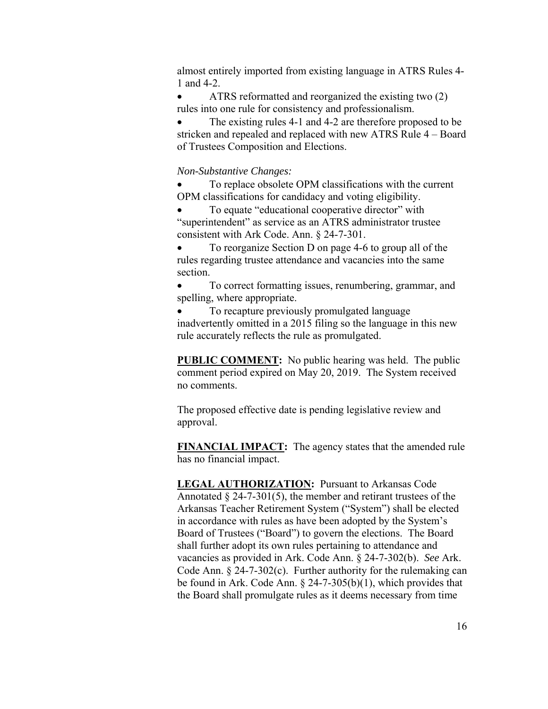almost entirely imported from existing language in ATRS Rules 4- 1 and 4-2.

• ATRS reformatted and reorganized the existing two (2) rules into one rule for consistency and professionalism.

 The existing rules 4-1 and 4-2 are therefore proposed to be stricken and repealed and replaced with new ATRS Rule 4 – Board of Trustees Composition and Elections.

#### *Non-Substantive Changes:*

 To replace obsolete OPM classifications with the current OPM classifications for candidacy and voting eligibility.

 To equate "educational cooperative director" with "superintendent" as service as an ATRS administrator trustee consistent with Ark Code. Ann. § 24-7-301.

 To reorganize Section D on page 4-6 to group all of the rules regarding trustee attendance and vacancies into the same section.

• To correct formatting issues, renumbering, grammar, and spelling, where appropriate.

 To recapture previously promulgated language inadvertently omitted in a 2015 filing so the language in this new rule accurately reflects the rule as promulgated.

**PUBLIC COMMENT:** No public hearing was held. The public comment period expired on May 20, 2019. The System received no comments.

The proposed effective date is pending legislative review and approval.

**FINANCIAL IMPACT:** The agency states that the amended rule has no financial impact.

**LEGAL AUTHORIZATION:** Pursuant to Arkansas Code Annotated  $\S$  24-7-301(5), the member and retirant trustees of the Arkansas Teacher Retirement System ("System") shall be elected in accordance with rules as have been adopted by the System's Board of Trustees ("Board") to govern the elections. The Board shall further adopt its own rules pertaining to attendance and vacancies as provided in Ark. Code Ann. § 24-7-302(b). *See* Ark. Code Ann.  $\S$  24-7-302(c). Further authority for the rulemaking can be found in Ark. Code Ann. § 24-7-305(b)(1), which provides that the Board shall promulgate rules as it deems necessary from time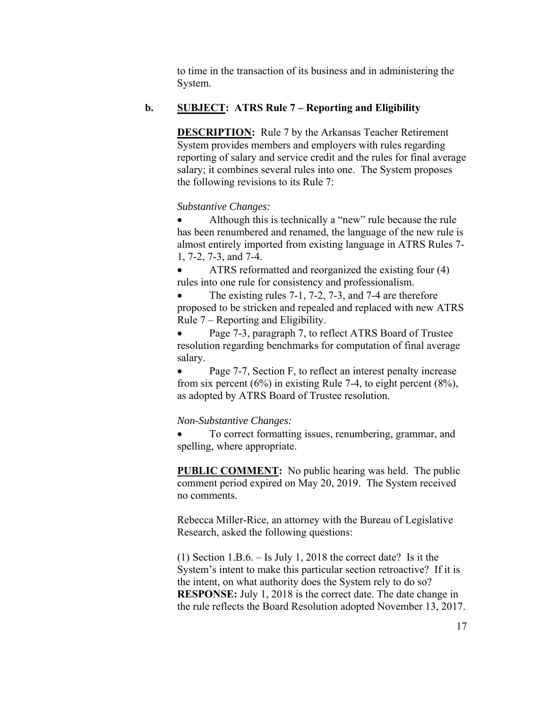to time in the transaction of its business and in administering the System.

## **b. SUBJECT: ATRS Rule 7 – Reporting and Eligibility**

**DESCRIPTION:** Rule 7 by the Arkansas Teacher Retirement System provides members and employers with rules regarding reporting of salary and service credit and the rules for final average salary; it combines several rules into one. The System proposes the following revisions to its Rule 7:

#### *Substantive Changes:*

 Although this is technically a "new" rule because the rule has been renumbered and renamed, the language of the new rule is almost entirely imported from existing language in ATRS Rules 7- 1, 7-2, 7-3, and 7-4.

• ATRS reformatted and reorganized the existing four (4) rules into one rule for consistency and professionalism.

 The existing rules 7-1, 7-2, 7-3, and 7-4 are therefore proposed to be stricken and repealed and replaced with new ATRS Rule 7 – Reporting and Eligibility.

 Page 7-3, paragraph 7, to reflect ATRS Board of Trustee resolution regarding benchmarks for computation of final average salary.

 Page 7-7, Section F, to reflect an interest penalty increase from six percent  $(6\%)$  in existing Rule 7-4, to eight percent  $(8\%)$ , as adopted by ATRS Board of Trustee resolution.

#### *Non-Substantive Changes:*

 To correct formatting issues, renumbering, grammar, and spelling, where appropriate.

**PUBLIC COMMENT:** No public hearing was held. The public comment period expired on May 20, 2019. The System received no comments.

Rebecca Miller-Rice, an attorney with the Bureau of Legislative Research, asked the following questions:

(1) Section 1.B.6. – Is July 1, 2018 the correct date? Is it the System's intent to make this particular section retroactive? If it is the intent, on what authority does the System rely to do so? **RESPONSE:** July 1, 2018 is the correct date. The date change in the rule reflects the Board Resolution adopted November 13, 2017.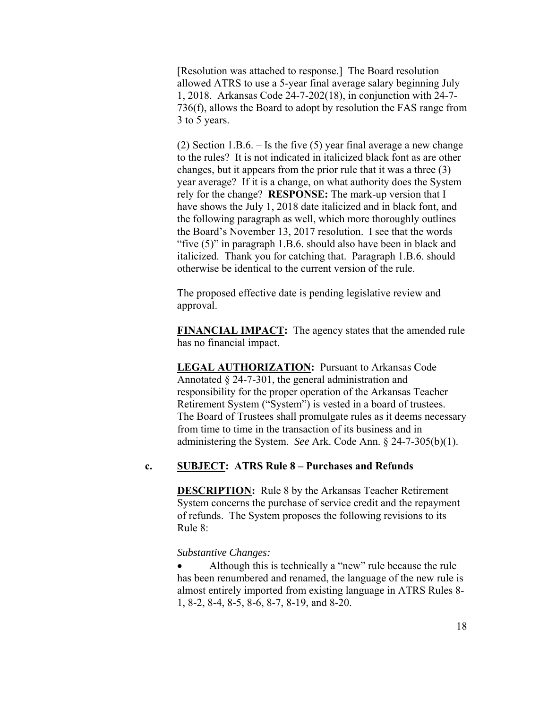[Resolution was attached to response.] The Board resolution allowed ATRS to use a 5-year final average salary beginning July 1, 2018. Arkansas Code 24-7-202(18), in conjunction with 24-7- 736(f), allows the Board to adopt by resolution the FAS range from 3 to 5 years.

(2) Section  $1.B.6. - Is the five (5) year final average a new change$ to the rules? It is not indicated in italicized black font as are other changes, but it appears from the prior rule that it was a three (3) year average? If it is a change, on what authority does the System rely for the change? **RESPONSE:** The mark-up version that I have shows the July 1, 2018 date italicized and in black font, and the following paragraph as well, which more thoroughly outlines the Board's November 13, 2017 resolution. I see that the words "five (5)" in paragraph 1.B.6. should also have been in black and italicized. Thank you for catching that. Paragraph 1.B.6. should otherwise be identical to the current version of the rule.

The proposed effective date is pending legislative review and approval.

**FINANCIAL IMPACT:** The agency states that the amended rule has no financial impact.

**LEGAL AUTHORIZATION:** Pursuant to Arkansas Code Annotated § 24-7-301, the general administration and responsibility for the proper operation of the Arkansas Teacher Retirement System ("System") is vested in a board of trustees. The Board of Trustees shall promulgate rules as it deems necessary from time to time in the transaction of its business and in administering the System. *See* Ark. Code Ann. § 24-7-305(b)(1).

### **c. SUBJECT: ATRS Rule 8 – Purchases and Refunds**

**DESCRIPTION:** Rule 8 by the Arkansas Teacher Retirement System concerns the purchase of service credit and the repayment of refunds. The System proposes the following revisions to its Rule 8:

*Substantive Changes:* 

 Although this is technically a "new" rule because the rule has been renumbered and renamed, the language of the new rule is almost entirely imported from existing language in ATRS Rules 8- 1, 8-2, 8-4, 8-5, 8-6, 8-7, 8-19, and 8-20.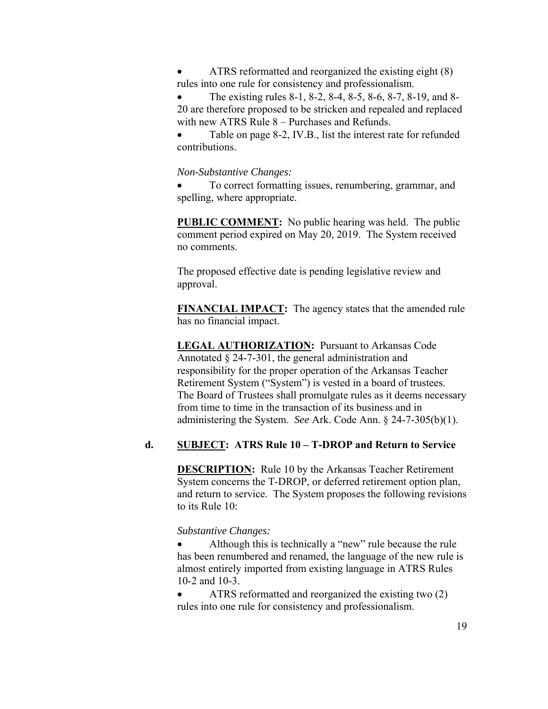ATRS reformatted and reorganized the existing eight (8) rules into one rule for consistency and professionalism.

 The existing rules 8-1, 8-2, 8-4, 8-5, 8-6, 8-7, 8-19, and 8- 20 are therefore proposed to be stricken and repealed and replaced with new ATRS Rule 8 – Purchases and Refunds.

 Table on page 8-2, IV.B., list the interest rate for refunded contributions.

### *Non-Substantive Changes:*

 To correct formatting issues, renumbering, grammar, and spelling, where appropriate.

**PUBLIC COMMENT:** No public hearing was held. The public comment period expired on May 20, 2019. The System received no comments.

The proposed effective date is pending legislative review and approval.

**FINANCIAL IMPACT:** The agency states that the amended rule has no financial impact.

**LEGAL AUTHORIZATION:** Pursuant to Arkansas Code Annotated § 24-7-301, the general administration and responsibility for the proper operation of the Arkansas Teacher Retirement System ("System") is vested in a board of trustees. The Board of Trustees shall promulgate rules as it deems necessary from time to time in the transaction of its business and in administering the System. *See* Ark. Code Ann. § 24-7-305(b)(1).

## **d. SUBJECT: ATRS Rule 10 – T-DROP and Return to Service**

**DESCRIPTION:** Rule 10 by the Arkansas Teacher Retirement System concerns the T-DROP, or deferred retirement option plan, and return to service. The System proposes the following revisions to its Rule 10:

*Substantive Changes:* 

 Although this is technically a "new" rule because the rule has been renumbered and renamed, the language of the new rule is almost entirely imported from existing language in ATRS Rules 10-2 and 10-3.

 ATRS reformatted and reorganized the existing two (2) rules into one rule for consistency and professionalism.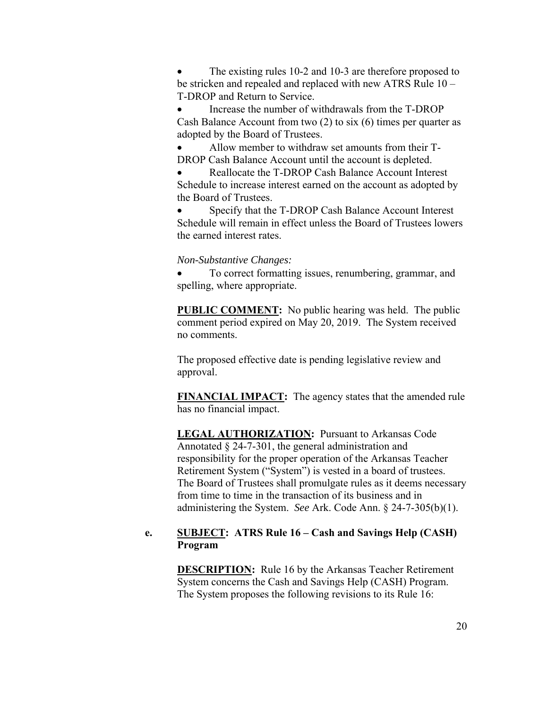The existing rules 10-2 and 10-3 are therefore proposed to be stricken and repealed and replaced with new ATRS Rule 10 – T-DROP and Return to Service.

 Increase the number of withdrawals from the T-DROP Cash Balance Account from two (2) to six (6) times per quarter as adopted by the Board of Trustees.

 Allow member to withdraw set amounts from their T-DROP Cash Balance Account until the account is depleted.

 Reallocate the T-DROP Cash Balance Account Interest Schedule to increase interest earned on the account as adopted by the Board of Trustees.

 Specify that the T-DROP Cash Balance Account Interest Schedule will remain in effect unless the Board of Trustees lowers the earned interest rates.

### *Non-Substantive Changes:*

 To correct formatting issues, renumbering, grammar, and spelling, where appropriate.

**PUBLIC COMMENT:** No public hearing was held. The public comment period expired on May 20, 2019. The System received no comments.

The proposed effective date is pending legislative review and approval.

**FINANCIAL IMPACT:** The agency states that the amended rule has no financial impact.

**LEGAL AUTHORIZATION:** Pursuant to Arkansas Code Annotated § 24-7-301, the general administration and responsibility for the proper operation of the Arkansas Teacher Retirement System ("System") is vested in a board of trustees. The Board of Trustees shall promulgate rules as it deems necessary from time to time in the transaction of its business and in administering the System. *See* Ark. Code Ann. § 24-7-305(b)(1).

## **e. SUBJECT: ATRS Rule 16 – Cash and Savings Help (CASH) Program**

**DESCRIPTION:** Rule 16 by the Arkansas Teacher Retirement System concerns the Cash and Savings Help (CASH) Program. The System proposes the following revisions to its Rule 16: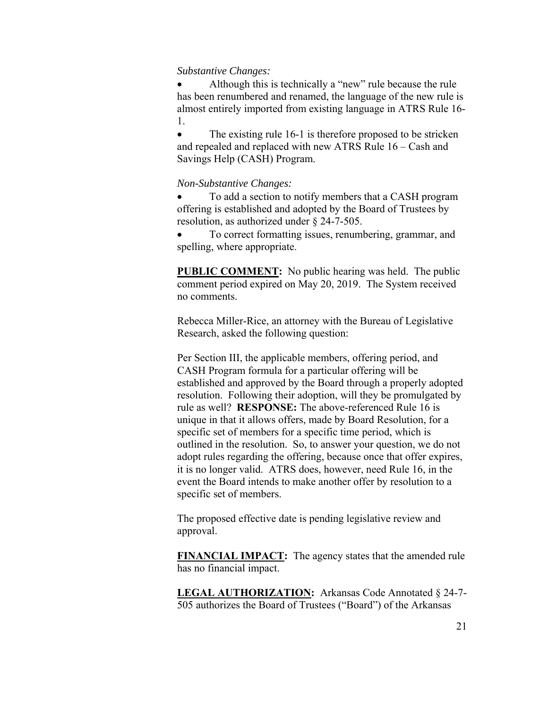#### *Substantive Changes:*

 Although this is technically a "new" rule because the rule has been renumbered and renamed, the language of the new rule is almost entirely imported from existing language in ATRS Rule 16- 1.

• The existing rule 16-1 is therefore proposed to be stricken and repealed and replaced with new ATRS Rule 16 – Cash and Savings Help (CASH) Program.

#### *Non-Substantive Changes:*

 To add a section to notify members that a CASH program offering is established and adopted by the Board of Trustees by resolution, as authorized under § 24-7-505.

 To correct formatting issues, renumbering, grammar, and spelling, where appropriate.

**PUBLIC COMMENT:** No public hearing was held. The public comment period expired on May 20, 2019. The System received no comments.

Rebecca Miller-Rice, an attorney with the Bureau of Legislative Research, asked the following question:

Per Section III, the applicable members, offering period, and CASH Program formula for a particular offering will be established and approved by the Board through a properly adopted resolution. Following their adoption, will they be promulgated by rule as well? **RESPONSE:** The above-referenced Rule 16 is unique in that it allows offers, made by Board Resolution, for a specific set of members for a specific time period, which is outlined in the resolution. So, to answer your question, we do not adopt rules regarding the offering, because once that offer expires, it is no longer valid. ATRS does, however, need Rule 16, in the event the Board intends to make another offer by resolution to a specific set of members.

The proposed effective date is pending legislative review and approval.

**FINANCIAL IMPACT:** The agency states that the amended rule has no financial impact.

**LEGAL AUTHORIZATION:** Arkansas Code Annotated § 24-7- 505 authorizes the Board of Trustees ("Board") of the Arkansas